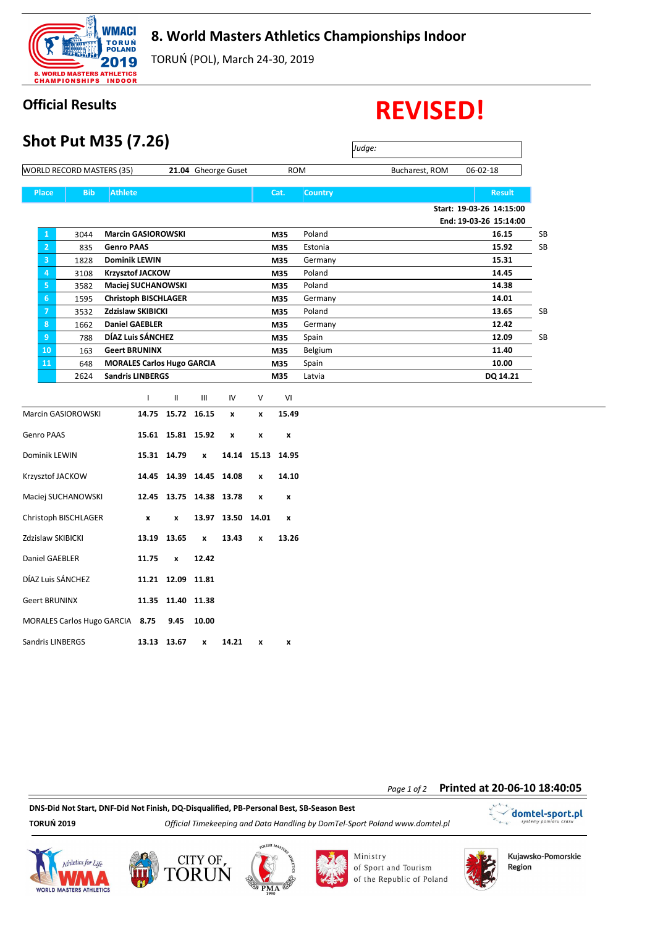

## **8. World Masters Athletics Championships Indoor**

TORUŃ (POL), March 24-30, 2019

## **Official Results REVISED!**

| <b>Shot Put M35 (7.26)</b>       |                                               |                                   |                   |                  |                     |                    |            |                |  |                |                          |    |
|----------------------------------|-----------------------------------------------|-----------------------------------|-------------------|------------------|---------------------|--------------------|------------|----------------|--|----------------|--------------------------|----|
| <b>WORLD RECORD MASTERS (35)</b> |                                               |                                   |                   |                  | 21.04 Gheorge Guset |                    | <b>ROM</b> |                |  | Bucharest, ROM | 06-02-18                 |    |
| <b>Place</b>                     | <b>Athlete</b><br><b>Bib</b>                  |                                   |                   |                  |                     |                    | Cat.       | <b>Country</b> |  |                | <b>Result</b>            |    |
|                                  |                                               |                                   |                   |                  |                     |                    |            |                |  |                | Start: 19-03-26 14:15:00 |    |
|                                  |                                               |                                   |                   |                  |                     |                    |            |                |  |                | End: 19-03-26 15:14:00   |    |
| $\mathbf{1}$                     | 3044                                          | <b>Marcin GASIOROWSKI</b>         |                   |                  |                     |                    | M35        | Poland         |  |                | 16.15                    | SB |
| $\overline{2}$                   | <b>Genro PAAS</b><br>835                      |                                   |                   |                  |                     |                    | M35        | Estonia        |  |                | 15.92                    | SB |
| 3                                | 1828                                          | <b>Dominik LEWIN</b>              |                   |                  |                     |                    | M35        | Germany        |  |                | 15.31                    |    |
| 4                                | 3108                                          | <b>Krzysztof JACKOW</b>           |                   |                  |                     |                    | M35        | Poland         |  |                | 14.45                    |    |
| 5                                | 3582                                          | Maciej SUCHANOWSKI                |                   |                  |                     |                    | M35        | Poland         |  |                | 14.38                    |    |
| $6\phantom{.}$                   | 1595                                          | <b>Christoph BISCHLAGER</b>       |                   |                  |                     |                    | M35        | Germany        |  |                | 14.01                    |    |
| $\overline{7}$                   | 3532                                          | <b>Zdzislaw SKIBICKI</b>          |                   |                  |                     |                    | M35        | Poland         |  |                | 13.65                    | SB |
| 8                                | 1662                                          | <b>Daniel GAEBLER</b>             |                   |                  |                     |                    | M35        | Germany        |  |                | 12.42                    |    |
| 9                                | 788                                           | DÍAZ Luis SÁNCHEZ                 |                   |                  |                     |                    | M35        | Spain          |  |                | 12.09                    | SB |
| 10                               | 163                                           | <b>Geert BRUNINX</b>              |                   |                  |                     |                    | M35        | Belgium        |  |                | 11.40                    |    |
| 11                               | 648                                           | <b>MORALES Carlos Hugo GARCIA</b> |                   |                  |                     |                    | M35        | Spain          |  |                | 10.00                    |    |
|                                  | 2624                                          | <b>Sandris LINBERGS</b>           |                   |                  |                     |                    | M35        | Latvia         |  |                | DQ 14.21                 |    |
|                                  |                                               | $\mathbf{I}$                      | Ш                 | Ш                | IV                  | V                  | VI         |                |  |                |                          |    |
|                                  | Marcin GASIOROWSKI                            |                                   | 14.75 15.72 16.15 |                  | $\mathbf{x}$        | $\pmb{\mathsf{x}}$ | 15.49      |                |  |                |                          |    |
| <b>Genro PAAS</b>                |                                               |                                   | 15.61 15.81 15.92 |                  | x                   | x                  | x          |                |  |                |                          |    |
| Dominik LEWIN                    |                                               |                                   | 15.31 14.79       | x                |                     | 14.14 15.13        | 14.95      |                |  |                |                          |    |
|                                  | 14.45 14.39 14.45 14.08<br>Krzysztof JACKOW   |                                   |                   |                  |                     | $\pmb{\mathsf{x}}$ | 14.10      |                |  |                |                          |    |
|                                  | Maciej SUCHANOWSKI<br>12.45 13.75 14.38 13.78 |                                   |                   |                  |                     | x                  | x          |                |  |                |                          |    |
|                                  | Christoph BISCHLAGER<br>$\pmb{\times}$<br>x   |                                   |                   | 13.97            | 13.50               | 14.01              | x          |                |  |                |                          |    |
|                                  | Zdzislaw SKIBICKI<br>13.19 13.65              |                                   |                   | $\boldsymbol{x}$ | 13.43               | $\mathbf{x}$       | 13.26      |                |  |                |                          |    |
|                                  | Daniel GAEBLER<br>11.75                       |                                   |                   | 12.42            |                     |                    |            |                |  |                |                          |    |
|                                  | DÍAZ Luis SÁNCHEZ                             |                                   | 11.21 12.09 11.81 |                  |                     |                    |            |                |  |                |                          |    |
| <b>Geert BRUNINX</b>             |                                               |                                   | 11.35 11.40 11.38 |                  |                     |                    |            |                |  |                |                          |    |
| MORALES Carlos Hugo GARCIA 8.75  |                                               | 9.45                              | 10.00             |                  |                     |                    |            |                |  |                |                          |    |

Sandris LINBERGS **13.13 13.67 x 14.21 x x**

## *Page 1 of 2* **Printed at 20-06-10 18:40:05**

**DNS-Did Not Start, DNF-Did Not Finish, DQ-Disqualified, PB-Personal Best, SB-Season Best**

**TORUŃ 2019** *Official Timekeeping and Data Handling by DomTel-Sport Poland www.domtel.pl*

domtel-sport.pl  $\ddot{\phantom{a}}$ 









Ministry of Sport and Tourism of the Republic of Poland



Kujawsko-Pomorskie Region